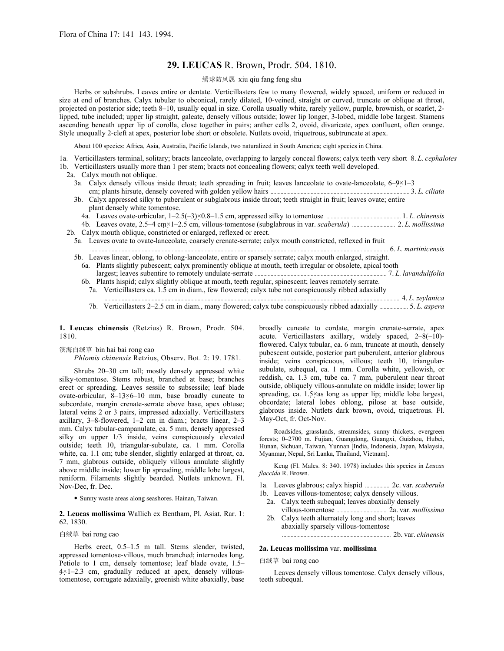# **29. LEUCAS** R. Brown, Prodr. 504. 1810.

### 绣球防风属 xiu qiu fang feng shu

Herbs or subshrubs. Leaves entire or dentate. Verticillasters few to many flowered, widely spaced, uniform or reduced in size at end of branches. Calyx tubular to obconical, rarely dilated, 10-veined, straight or curved, truncate or oblique at throat, projected on posterior side; teeth 8–10, usually equal in size. Corolla usually white, rarely yellow, purple, brownish, or scarlet, 2 lipped, tube included; upper lip straight, galeate, densely villous outside; lower lip longer, 3-lobed, middle lobe largest. Stamens ascending beneath upper lip of corolla, close together in pairs; anther cells 2, ovoid, divaricate, apex confluent, often orange. Style unequally 2-cleft at apex, posterior lobe short or obsolete. Nutlets ovoid, triquetrous, subtruncate at apex.

About 100 species: Africa, Asia, Australia, Pacific Islands, two naturalized in South America; eight species in China.

1a. Verticillasters terminal, solitary; bracts lanceolate, overlapping to largely conceal flowers; calyx teeth very short 8. *L. cephalotes* 1b. Verticillasters usually more than 1 per stem; bracts not concealing flowers; calyx teeth well developed.

- 2a. Calyx mouth not oblique.
	- 3a. Calyx densely villous inside throat; teeth spreading in fruit; leaves lanceolate to ovate-lanceolate,  $6-9\times1-3$ cm; plants hirsute, densely covered with golden yellow hairs ................................................................................................. 3. *L. ciliata*
	- 3b. Calyx appressed silky to puberulent or subglabrous inside throat; teeth straight in fruit; leaves ovate; entire plant densely white tomentose.
	- 4a. Leaves ovate-orbicular, 1–2.5(–3)×0.8–1.5 cm, appressed silky to tomentose .................................................... 1. *L. chinensis* 4b. Leaves ovate, 2.5–4 cm×1–2.5 cm, villous-tomentose (subglabrous in var. *scaberula*) .............................. 2. *L. mollissima*

2b. Calyx mouth oblique, constricted or enlarged, reflexed or erect.

- 5a. Leaves ovate to ovate-lanceolate, coarsely crenate-serrate; calyx mouth constricted, reflexed in fruit ... 6. L. martinicensis 5b. Leaves linear, oblong, to oblong-lanceolate, entire or sparsely serrate; calyx mouth enlarged, straight.
	- 6a. Plants slightly pubescent; calyx prominently oblique at mouth, teeth irregular or obsolete, apical tooth largest; leaves subentire to remotely undulate-serrate ............................................................................................ 7. *L. lavandulifolia*
	- 6b. Plants hispid; calyx slightly oblique at mouth, teeth regular, spinescent; leaves remotely serrate. 7a. Verticillasters ca. 1.5 cm in diam., few flowered; calyx tube not conspicuously ribbed adaxially

.......... 4. L. zeylanica

7b. Verticillasters 2–2.5 cm in diam., many flowered; calyx tube conspicuously ribbed adaxially .................... 5. *L. aspera* 

**1. Leucas chinensis** (Retzius) R. Brown, Prodr. 504. 1810.

# 滨海白绒草 bin hai bai rong cao

*Phlomis chinensis* Retzius, Observ. Bot. 2: 19. 1781.

Shrubs 20–30 cm tall; mostly densely appressed white silky-tomentose. Stems robust, branched at base; branches erect or spreading. Leaves sessile to subsessile; leaf blade ovate-orbicular, 8–13×6–10 mm, base broadly cuneate to subcordate, margin crenate-serrate above base, apex obtuse; lateral veins 2 or 3 pairs, impressed adaxially. Verticillasters axillary, 3–8-flowered, 1–2 cm in diam.; bracts linear, 2–3 mm. Calyx tubular-campanulate, ca. 5 mm, densely appressed silky on upper 1/3 inside, veins conspicuously elevated outside; teeth 10, triangular-subulate, ca. 1 mm. Corolla white, ca. 1.1 cm; tube slender, slightly enlarged at throat, ca. 7 mm, glabrous outside, obliquely villous annulate slightly above middle inside; lower lip spreading, middle lobe largest, reniform. Filaments slightly bearded. Nutlets unknown. Fl. Nov-Dec, fr. Dec.

• Sunny waste areas along seashores. Hainan, Taiwan.

**2. Leucas mollissima** Wallich ex Bentham, Pl. Asiat. Rar. 1: 62. 1830.

# 白绒草 bai rong cao

Herbs erect, 0.5–1.5 m tall. Stems slender, twisted, appressed tomentose-villous, much branched; internodes long. Petiole to 1 cm, densely tomentose; leaf blade ovate, 1.5– 4×1–2.3 cm, gradually reduced at apex, densely villoustomentose, corrugate adaxially, greenish white abaxially, base broadly cuneate to cordate, margin crenate-serrate, apex acute. Verticillasters axillary, widely spaced, 2–8(–10) flowered. Calyx tubular, ca. 6 mm, truncate at mouth, densely pubescent outside, posterior part puberulent, anterior glabrous inside; veins conspicuous, villous; teeth 10, triangularsubulate, subequal, ca. 1 mm. Corolla white, yellowish, or reddish, ca. 1.3 cm, tube ca. 7 mm, puberulent near throat outside, obliquely villous-annulate on middle inside; lower lip spreading, ca. 1.5×as long as upper lip; middle lobe largest, obcordate; lateral lobes oblong, pilose at base outside, glabrous inside. Nutlets dark brown, ovoid, triquetrous. Fl. May-Oct, fr. Oct-Nov.

Roadsides, grasslands, streamsides, sunny thickets, evergreen forests; 0–2700 m. Fujian, Guangdong, Guangxi, Guizhou, Hubei, Hunan, Sichuan, Taiwan, Yunnan [India, Indonesia, Japan, Malaysia, Myanmar, Nepal, Sri Lanka, Thailand, Vietnam].

Keng (Fl. Males. 8: 340. 1978) includes this species in *Leucas flaccida* R. Brown.

1a. Leaves glabrous; calyx hispid ................. 2c. var. *scaberula* 1b. Leaves villous-tomentose; calyx densely villous.

- 2a. Calyx teeth subequal; leaves abaxially densely villous-tomentose ................................... 2a. var. *mollissima*
- 2b. Calyx teeth alternately long and short; leaves abaxially sparsely villous-tomentose ............................................................................ 2b. var. *chinensis*

#### **2a. Leucas mollissima** var. **mollissima**

#### 白绒草 bai rong cao

Leaves densely villous tomentose. Calyx densely villous, teeth subequal.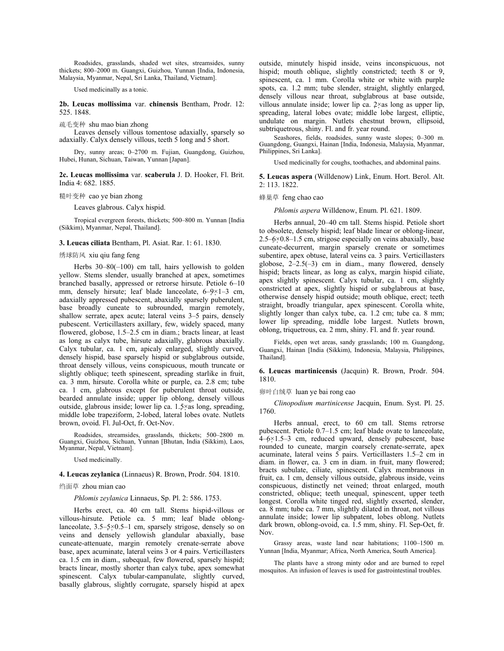Roadsides, grasslands, shaded wet sites, streamsides, sunny thickets; 800–2000 m. Guangxi, Guizhou, Yunnan [India, Indonesia, Malaysia, Myanmar, Nepal, Sri Lanka, Thailand, Vietnam].

Used medicinally as a tonic.

**2b. Leucas mollissima** var. **chinensis** Bentham, Prodr. 12: 525. 1848.

疏毛变种 shu mao bian zhong

Leaves densely villous tomentose adaxially, sparsely so adaxially. Calyx densely villous, teeth 5 long and 5 short.

Dry, sunny areas; 0–2700 m. Fujian, Guangdong, Guizhou, Hubei, Hunan, Sichuan, Taiwan, Yunnan [Japan].

**2c. Leucas mollissima** var. **scaberula** J. D. Hooker, Fl. Brit. India 4: 682. 1885.

糙叶变种 cao ye bian zhong

Leaves glabrous. Calyx hispid.

Tropical evergreen forests, thickets; 500–800 m. Yunnan [India (Sikkim), Myanmar, Nepal, Thailand].

# **3. Leucas ciliata** Bentham, Pl. Asiat. Rar. 1: 61. 1830.

#### 绣球防风 xiu qiu fang feng

Herbs 30–80(–100) cm tall, hairs yellowish to golden yellow. Stems slender, usually branched at apex, sometimes branched basally, appressed or retrorse hirsute. Petiole 6–10 mm, densely hirsute; leaf blade lanceolate, 6–9×1–3 cm, adaxially appressed pubescent, abaxially sparsely puberulent, base broadly cuneate to subrounded, margin remotely, shallow serrate, apex acute; lateral veins 3–5 pairs, densely pubescent. Verticillasters axillary, few, widely spaced, many flowered, globose, 1.5–2.5 cm in diam.; bracts linear, at least as long as calyx tube, hirsute adaxially, glabrous abaxially. Calyx tubular, ca. 1 cm, apicaly enlarged, slightly curved, densely hispid, base sparsely hispid or subglabrous outside, throat densely villous, veins conspicuous, mouth truncate or slightly oblique; teeth spinescent, spreading starlike in fruit, ca. 3 mm, hirsute. Corolla white or purple, ca. 2.8 cm; tube ca. 1 cm, glabrous except for puberulent throat outside, bearded annulate inside; upper lip oblong, densely villous outside, glabrous inside; lower lip ca. 1.5×as long, spreading, middle lobe trapeziform, 2-lobed, lateral lobes ovate. Nutlets brown, ovoid. Fl. Jul-Oct, fr. Oct-Nov.

Roadsides, streamsides, grasslands, thickets; 500–2800 m. Guangxi, Guizhou, Sichuan, Yunnan [Bhutan, India (Sikkim), Laos, Myanmar, Nepal, Vietnam].

Used medicinally.

#### **4. Leucas zeylanica** (Linnaeus) R. Brown, Prodr. 504. 1810.

## 绉面草 zhou mian cao

*Phlomis zeylanica* Linnaeus, Sp. Pl. 2: 586. 1753.

Herbs erect, ca. 40 cm tall. Stems hispid-villous or villous-hirsute. Petiole ca. 5 mm; leaf blade oblonglanceolate,  $3.5-5\times0.5-1$  cm, sparsely strigose, densely so on veins and densely yellowish glandular abaxially, base cuneate-attenuate, margin remotely crenate-serrate above base, apex acuminate, lateral veins 3 or 4 pairs. Verticillasters ca. 1.5 cm in diam., subequal, few flowered, sparsely hispid; bracts linear, mostly shorter than calyx tube, apex somewhat spinescent. Calyx tubular-campanulate, slightly curved, basally glabrous, slightly corrugate, sparsely hispid at apex

outside, minutely hispid inside, veins inconspicuous, not hispid; mouth oblique, slightly constricted; teeth 8 or 9, spinescent, ca. 1 mm. Corolla white or white with purple spots, ca. 1.2 mm; tube slender, straight, slightly enlarged, densely villous near throat, subglabrous at base outside, villous annulate inside; lower lip ca. 2×as long as upper lip, spreading, lateral lobes ovate; middle lobe largest, elliptic, undulate on margin. Nutlets chestnut brown, ellipsoid, subtriquetrous, shiny. Fl. and fr. year round.

Seashores, fields, roadsides, sunny waste slopes; 0–300 m. Guangdong, Guangxi, Hainan [India, Indonesia, Malaysia, Myanmar, Philippines, Sri Lanka].

Used medicinally for coughs, toothaches, and abdominal pains.

**5. Leucas aspera** (Willdenow) Link, Enum. Hort. Berol. Alt. 2: 113. 1822.

蜂巢草 feng chao cao

*Phlomis aspera* Willdenow, Enum. Pl. 621. 1809.

Herbs annual, 20–40 cm tall. Stems hispid. Petiole short to obsolete, densely hispid; leaf blade linear or oblong-linear, 2.5–6×0.8–1.5 cm, strigose especially on veins abaxially, base cuneate-decurrent, margin sparsely crenate or sometimes subentire, apex obtuse, lateral veins ca. 3 pairs. Verticillasters globose, 2–2.5(–3) cm in diam., many flowered, densely hispid; bracts linear, as long as calyx, margin hispid ciliate, apex slightly spinescent. Calyx tubular, ca. 1 cm, slightly constricted at apex, slightly hispid or subglabrous at base, otherwise densely hispid outside; mouth oblique, erect; teeth straight, broadly triangular, apex spinescent. Corolla white, slightly longer than calyx tube, ca. 1.2 cm; tube ca. 8 mm; lower lip spreading, middle lobe largest. Nutlets brown, oblong, triquetrous, ca. 2 mm, shiny. Fl. and fr. year round.

Fields, open wet areas, sandy grasslands; 100 m. Guangdong, Guangxi, Hainan [India (Sikkim), Indonesia, Malaysia, Philippines, Thailand].

**6. Leucas martinicensis** (Jacquin) R. Brown, Prodr. 504. 1810.

卵叶白绒草 luan ye bai rong cao

*Clinopodium martinicense* Jacquin, Enum. Syst. Pl. 25. 1760.

Herbs annual, erect, to 60 cm tall. Stems retrorse pubescent. Petiole 0.7–1.5 cm; leaf blade ovate to lanceolate,  $4-6\times1.5-3$  cm, reduced upward, densely pubescent, base rounded to cuneate, margin coarsely crenate-serrate, apex acuminate, lateral veins 5 pairs. Verticillasters 1.5–2 cm in diam. in flower, ca. 3 cm in diam. in fruit, many flowered; bracts subulate, ciliate, spinescent. Calyx membranous in fruit, ca. 1 cm, densely villous outside, glabrous inside, veins conspicuous, distinctly net veined; throat enlarged, mouth constricted, oblique; teeth unequal, spinescent, upper teeth longest. Corolla white tinged red, slightly exserted, slender, ca. 8 mm; tube ca. 7 mm, slightly dilated in throat, not villous annulate inside; lower lip subpatent, lobes oblong. Nutlets dark brown, oblong-ovoid, ca. 1.5 mm, shiny. Fl. Sep-Oct, fr. Nov.

Grassy areas, waste land near habitations; 1100–1500 m. Yunnan [India, Myanmar; Africa, North America, South America].

The plants have a strong minty odor and are burned to repel mosquitos. An infusion of leaves is used for gastrointestinal troubles.